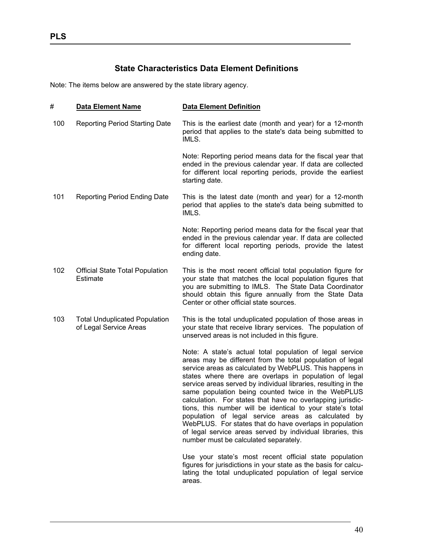# **State Characteristics Data Element Definitions**

Note: The items below are answered by the state library agency.

| #   | <b>Data Element Name</b>                                       | <b>Data Element Definition</b>                                                                                                                                                                                                                                                                                                                                                                                                                                                                                                                                                                                                                                                                                          |
|-----|----------------------------------------------------------------|-------------------------------------------------------------------------------------------------------------------------------------------------------------------------------------------------------------------------------------------------------------------------------------------------------------------------------------------------------------------------------------------------------------------------------------------------------------------------------------------------------------------------------------------------------------------------------------------------------------------------------------------------------------------------------------------------------------------------|
| 100 | <b>Reporting Period Starting Date</b>                          | This is the earliest date (month and year) for a 12-month<br>period that applies to the state's data being submitted to<br>IMLS.                                                                                                                                                                                                                                                                                                                                                                                                                                                                                                                                                                                        |
|     |                                                                | Note: Reporting period means data for the fiscal year that<br>ended in the previous calendar year. If data are collected<br>for different local reporting periods, provide the earliest<br>starting date.                                                                                                                                                                                                                                                                                                                                                                                                                                                                                                               |
| 101 | <b>Reporting Period Ending Date</b>                            | This is the latest date (month and year) for a 12-month<br>period that applies to the state's data being submitted to<br>IMLS.                                                                                                                                                                                                                                                                                                                                                                                                                                                                                                                                                                                          |
|     |                                                                | Note: Reporting period means data for the fiscal year that<br>ended in the previous calendar year. If data are collected<br>for different local reporting periods, provide the latest<br>ending date.                                                                                                                                                                                                                                                                                                                                                                                                                                                                                                                   |
| 102 | <b>Official State Total Population</b><br>Estimate             | This is the most recent official total population figure for<br>your state that matches the local population figures that<br>you are submitting to IMLS. The State Data Coordinator<br>should obtain this figure annually from the State Data<br>Center or other official state sources.                                                                                                                                                                                                                                                                                                                                                                                                                                |
| 103 | <b>Total Unduplicated Population</b><br>of Legal Service Areas | This is the total unduplicated population of those areas in<br>your state that receive library services. The population of<br>unserved areas is not included in this figure.                                                                                                                                                                                                                                                                                                                                                                                                                                                                                                                                            |
|     |                                                                | Note: A state's actual total population of legal service<br>areas may be different from the total population of legal<br>service areas as calculated by WebPLUS. This happens in<br>states where there are overlaps in population of legal<br>service areas served by individual libraries, resulting in the<br>same population being counted twice in the WebPLUS<br>calculation. For states that have no overlapping jurisdic-<br>tions, this number will be identical to your state's total<br>population of legal service areas as calculated by<br>WebPLUS. For states that do have overlaps in population<br>of legal service areas served by individual libraries, this<br>number must be calculated separately. |
|     |                                                                | Use your state's most recent official state population<br>figures for jurisdictions in your state as the basis for calcu-<br>lating the total unduplicated population of legal service<br>areas.                                                                                                                                                                                                                                                                                                                                                                                                                                                                                                                        |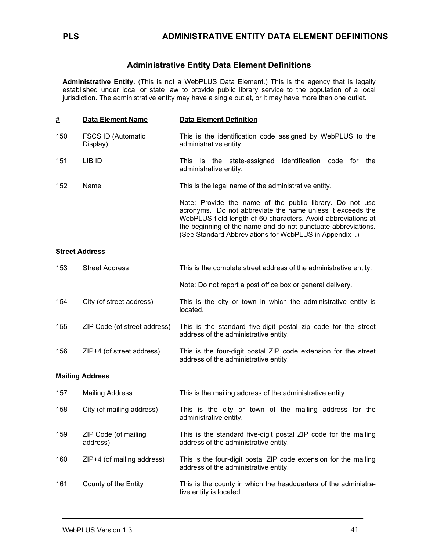## **Administrative Entity Data Element Definitions**

**Administrative Entity.** (This is not a WebPLUS Data Element.) This is the agency that is legally established under local or state law to provide public library service to the population of a local jurisdiction. The administrative entity may have a single outlet, or it may have more than one outlet.

| <u>#</u> | <b>Data Element Name</b>              | <b>Data Element Definition</b>                                                                                                                                                                                                                                                                                      |
|----------|---------------------------------------|---------------------------------------------------------------------------------------------------------------------------------------------------------------------------------------------------------------------------------------------------------------------------------------------------------------------|
| 150      | <b>FSCS ID (Automatic</b><br>Display) | This is the identification code assigned by WebPLUS to the<br>administrative entity.                                                                                                                                                                                                                                |
| 151      | LIB ID                                | This is the state-assigned identification code for<br>the<br>administrative entity.                                                                                                                                                                                                                                 |
| 152      | Name                                  | This is the legal name of the administrative entity.                                                                                                                                                                                                                                                                |
|          |                                       | Note: Provide the name of the public library. Do not use<br>acronyms. Do not abbreviate the name unless it exceeds the<br>WebPLUS field length of 60 characters. Avoid abbreviations at<br>the beginning of the name and do not punctuate abbreviations.<br>(See Standard Abbreviations for WebPLUS in Appendix I.) |
|          | <b>Street Address</b>                 |                                                                                                                                                                                                                                                                                                                     |
| 153      | <b>Street Address</b>                 | This is the complete street address of the administrative entity.                                                                                                                                                                                                                                                   |
|          |                                       | Note: Do not report a post office box or general delivery.                                                                                                                                                                                                                                                          |
| 154      | City (of street address)              | This is the city or town in which the administrative entity is<br>located.                                                                                                                                                                                                                                          |
| 155      | ZIP Code (of street address)          | This is the standard five-digit postal zip code for the street<br>address of the administrative entity.                                                                                                                                                                                                             |
| 156      | ZIP+4 (of street address)             | This is the four-digit postal ZIP code extension for the street<br>address of the administrative entity.                                                                                                                                                                                                            |
|          | <b>Mailing Address</b>                |                                                                                                                                                                                                                                                                                                                     |
| 157      | <b>Mailing Address</b>                | This is the mailing address of the administrative entity.                                                                                                                                                                                                                                                           |
| 158      | City (of mailing address)             | This is the city or town of the mailing address for the<br>administrative entity.                                                                                                                                                                                                                                   |
| 159      | ZIP Code (of mailing<br>address)      | This is the standard five-digit postal ZIP code for the mailing<br>address of the administrative entity.                                                                                                                                                                                                            |
| 160      | ZIP+4 (of mailing address)            | This is the four-digit postal ZIP code extension for the mailing<br>address of the administrative entity.                                                                                                                                                                                                           |
| 161      | County of the Entity                  | This is the county in which the headquarters of the administra-<br>tive entity is located.                                                                                                                                                                                                                          |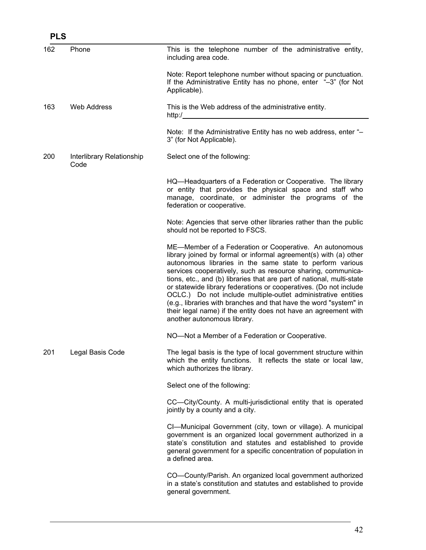| <b>PLS</b> |                                   |                                                                                                                                                                                                                                                                                                                                                                                                                                                                                                                                                                                                                                                |
|------------|-----------------------------------|------------------------------------------------------------------------------------------------------------------------------------------------------------------------------------------------------------------------------------------------------------------------------------------------------------------------------------------------------------------------------------------------------------------------------------------------------------------------------------------------------------------------------------------------------------------------------------------------------------------------------------------------|
| 162        | Phone                             | This is the telephone number of the administrative entity,<br>including area code.                                                                                                                                                                                                                                                                                                                                                                                                                                                                                                                                                             |
|            |                                   | Note: Report telephone number without spacing or punctuation.<br>If the Administrative Entity has no phone, enter "-3" (for Not<br>Applicable).                                                                                                                                                                                                                                                                                                                                                                                                                                                                                                |
| 163        | <b>Web Address</b>                | This is the Web address of the administrative entity.<br>http://www.androiden.com/                                                                                                                                                                                                                                                                                                                                                                                                                                                                                                                                                             |
|            |                                   | Note: If the Administrative Entity has no web address, enter "-<br>3" (for Not Applicable).                                                                                                                                                                                                                                                                                                                                                                                                                                                                                                                                                    |
| 200        | Interlibrary Relationship<br>Code | Select one of the following:                                                                                                                                                                                                                                                                                                                                                                                                                                                                                                                                                                                                                   |
|            |                                   | HQ—Headquarters of a Federation or Cooperative. The library<br>or entity that provides the physical space and staff who<br>manage, coordinate, or administer the programs of the<br>federation or cooperative.                                                                                                                                                                                                                                                                                                                                                                                                                                 |
|            |                                   | Note: Agencies that serve other libraries rather than the public<br>should not be reported to FSCS.                                                                                                                                                                                                                                                                                                                                                                                                                                                                                                                                            |
|            |                                   | ME-Member of a Federation or Cooperative. An autonomous<br>library joined by formal or informal agreement(s) with (a) other<br>autonomous libraries in the same state to perform various<br>services cooperatively, such as resource sharing, communica-<br>tions, etc., and (b) libraries that are part of national, multi-state<br>or statewide library federations or cooperatives. (Do not include<br>OCLC.) Do not include multiple-outlet administrative entities<br>(e.g., libraries with branches and that have the word "system" in<br>their legal name) if the entity does not have an agreement with<br>another autonomous library. |
|            |                                   | NO-Not a Member of a Federation or Cooperative.                                                                                                                                                                                                                                                                                                                                                                                                                                                                                                                                                                                                |
| 201        | Legal Basis Code                  | The legal basis is the type of local government structure within                                                                                                                                                                                                                                                                                                                                                                                                                                                                                                                                                                               |

Select one of the following:

which authorizes the library.

 CC—City/County. A multi-jurisdictional entity that is operated jointly by a county and a city.

which the entity functions. It reflects the state or local law,

 CI—Municipal Government (city, town or village). A municipal government is an organized local government authorized in a state's constitution and statutes and established to provide general government for a specific concentration of population in a defined area.

 CO—County/Parish. An organized local government authorized in a state's constitution and statutes and established to provide general government.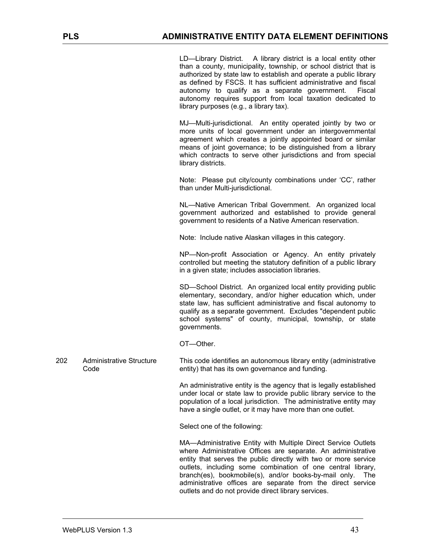LD—Library District. A library district is a local entity other than a county, municipality, township, or school district that is authorized by state law to establish and operate a public library as defined by FSCS. It has sufficient administrative and fiscal autonomy to qualify as a separate government. Fiscal autonomy requires support from local taxation dedicated to library purposes (e.g., a library tax).

 MJ—Multi-jurisdictional. An entity operated jointly by two or more units of local government under an intergovernmental agreement which creates a jointly appointed board or similar means of joint governance; to be distinguished from a library which contracts to serve other jurisdictions and from special library districts.

 Note: Please put city/county combinations under 'CC', rather than under Multi-jurisdictional.

 NL—Native American Tribal Government. An organized local government authorized and established to provide general government to residents of a Native American reservation.

Note: Include native Alaskan villages in this category.

 NP—Non-profit Association or Agency. An entity privately controlled but meeting the statutory definition of a public library in a given state; includes association libraries.

 SD—School District. An organized local entity providing public elementary, secondary, and/or higher education which, under state law, has sufficient administrative and fiscal autonomy to qualify as a separate government. Excludes "dependent public school systems" of county, municipal, township, or state governments.

OT—Other.

202 Administrative Structure Code This code identifies an autonomous library entity (administrative entity) that has its own governance and funding.

> An administrative entity is the agency that is legally established under local or state law to provide public library service to the population of a local jurisdiction. The administrative entity may have a single outlet, or it may have more than one outlet.

Select one of the following:

 MA—Administrative Entity with Multiple Direct Service Outlets where Administrative Offices are separate. An administrative entity that serves the public directly with two or more service outlets, including some combination of one central library, branch(es), bookmobile(s), and/or books-by-mail only. The administrative offices are separate from the direct service outlets and do not provide direct library services.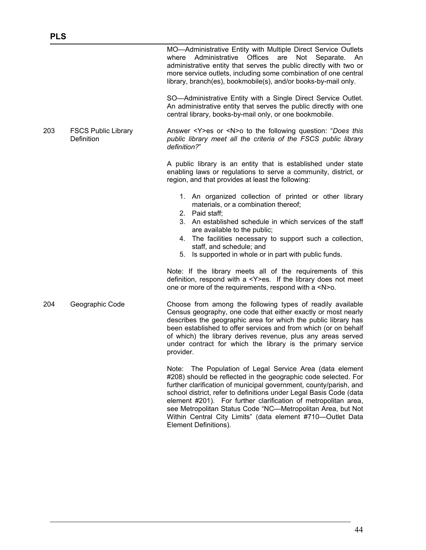|     |                                          | where Administrative Offices<br>are Not<br>Separate. An<br>administrative entity that serves the public directly with two or<br>more service outlets, including some combination of one central<br>library, branch(es), bookmobile(s), and/or books-by-mail only.                                                                                                                                            |
|-----|------------------------------------------|--------------------------------------------------------------------------------------------------------------------------------------------------------------------------------------------------------------------------------------------------------------------------------------------------------------------------------------------------------------------------------------------------------------|
|     |                                          | SO-Administrative Entity with a Single Direct Service Outlet.<br>An administrative entity that serves the public directly with one<br>central library, books-by-mail only, or one bookmobile.                                                                                                                                                                                                                |
| 203 | <b>FSCS Public Library</b><br>Definition | Answer <y>es or <n>o to the following question: "Does this<br/>public library meet all the criteria of the FSCS public library<br/>definition?"</n></y>                                                                                                                                                                                                                                                      |
|     |                                          | A public library is an entity that is established under state<br>enabling laws or regulations to serve a community, district, or<br>region, and that provides at least the following:                                                                                                                                                                                                                        |
|     |                                          | 1. An organized collection of printed or other library<br>materials, or a combination thereof;<br>2. Paid staff;                                                                                                                                                                                                                                                                                             |
|     |                                          | 3. An established schedule in which services of the staff<br>are available to the public;                                                                                                                                                                                                                                                                                                                    |
|     |                                          | 4. The facilities necessary to support such a collection,<br>staff, and schedule; and                                                                                                                                                                                                                                                                                                                        |
|     |                                          | 5. Is supported in whole or in part with public funds.                                                                                                                                                                                                                                                                                                                                                       |
|     |                                          | Note: If the library meets all of the requirements of this<br>definition, respond with a <y>es. If the library does not meet<br/>one or more of the requirements, respond with a <n>o.</n></y>                                                                                                                                                                                                               |
| 204 | Geographic Code                          | Choose from among the following types of readily available<br>Census geography, one code that either exactly or most nearly<br>describes the geographic area for which the public library has<br>been established to offer services and from which (or on behalf<br>of which) the library derives revenue, plus any areas served<br>under contract for which the library is the primary service<br>provider. |
|     |                                          |                                                                                                                                                                                                                                                                                                                                                                                                              |

MO—Administrative Entity with Multiple Direct Service Outlets

 Note: The Population of Legal Service Area (data element #208) should be reflected in the geographic code selected. For further clarification of municipal government, county/parish, and school district, refer to definitions under Legal Basis Code (data element #201). For further clarification of metropolitan area, see Metropolitan Status Code "NC—Metropolitan Area, but Not Within Central City Limits" (data element #710—Outlet Data Element Definitions).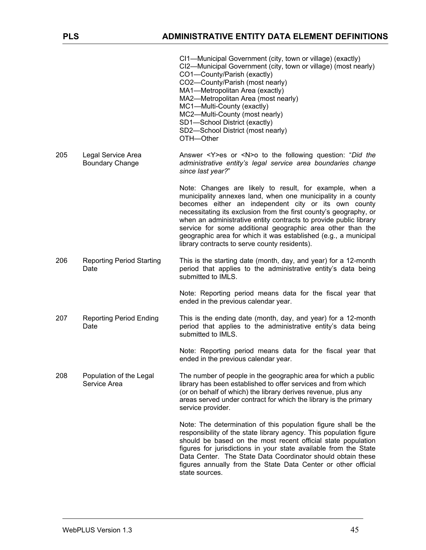|     |                                              | CI1-Municipal Government (city, town or village) (exactly)<br>CI2-Municipal Government (city, town or village) (most nearly)<br>CO1-County/Parish (exactly)<br>CO2-County/Parish (most nearly)<br>MA1-Metropolitan Area (exactly)<br>MA2-Metropolitan Area (most nearly)<br>MC1-Multi-County (exactly)<br>MC2-Multi-County (most nearly)<br>SD1-School District (exactly)<br>SD2-School District (most nearly)<br>OTH-Other                                                                                 |
|-----|----------------------------------------------|-------------------------------------------------------------------------------------------------------------------------------------------------------------------------------------------------------------------------------------------------------------------------------------------------------------------------------------------------------------------------------------------------------------------------------------------------------------------------------------------------------------|
| 205 | Legal Service Area<br><b>Boundary Change</b> | Answer <y>es or <n>o to the following question: "Did the<br/>administrative entity's legal service area boundaries change<br/>since last year?"</n></y>                                                                                                                                                                                                                                                                                                                                                     |
|     |                                              | Note: Changes are likely to result, for example, when a<br>municipality annexes land, when one municipality in a county<br>becomes either an independent city or its own county<br>necessitating its exclusion from the first county's geography, or<br>when an administrative entity contracts to provide public library<br>service for some additional geographic area other than the<br>geographic area for which it was established (e.g., a municipal<br>library contracts to serve county residents). |
| 206 | <b>Reporting Period Starting</b><br>Date     | This is the starting date (month, day, and year) for a 12-month<br>period that applies to the administrative entity's data being<br>submitted to IMLS.                                                                                                                                                                                                                                                                                                                                                      |
|     |                                              | Note: Reporting period means data for the fiscal year that<br>ended in the previous calendar year.                                                                                                                                                                                                                                                                                                                                                                                                          |
| 207 | <b>Reporting Period Ending</b><br>Date       | This is the ending date (month, day, and year) for a 12-month<br>period that applies to the administrative entity's data being<br>submitted to IMLS.                                                                                                                                                                                                                                                                                                                                                        |
|     |                                              | Note: Reporting period means data for the fiscal year that<br>ended in the previous calendar year.                                                                                                                                                                                                                                                                                                                                                                                                          |
| 208 | Population of the Legal<br>Service Area      | The number of people in the geographic area for which a public<br>library has been established to offer services and from which<br>(or on behalf of which) the library derives revenue, plus any<br>areas served under contract for which the library is the primary<br>service provider.                                                                                                                                                                                                                   |
|     |                                              | Note: The determination of this population figure shall be the<br>responsibility of the state library agency. This population figure<br>should be based on the most recent official state population<br>figures for jurisdictions in your state available from the State<br>Data Center. The State Data Coordinator should obtain these<br>figures annually from the State Data Center or other official<br>state sources.                                                                                  |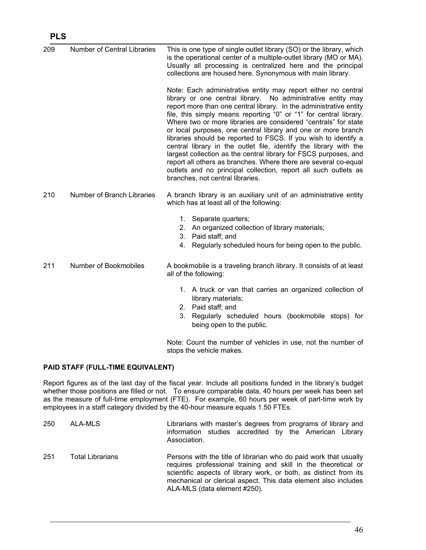| י∟ס |                                    |                                                                                                                                                                                                                                                                                                                                                                                                                                                                                                                                                                                                                                                                                                                                                                                                    |  |
|-----|------------------------------------|----------------------------------------------------------------------------------------------------------------------------------------------------------------------------------------------------------------------------------------------------------------------------------------------------------------------------------------------------------------------------------------------------------------------------------------------------------------------------------------------------------------------------------------------------------------------------------------------------------------------------------------------------------------------------------------------------------------------------------------------------------------------------------------------------|--|
| 209 | <b>Number of Central Libraries</b> | This is one type of single outlet library (SO) or the library, which<br>is the operational center of a multiple-outlet library (MO or MA).<br>Usually all processing is centralized here and the principal<br>collections are housed here. Synonymous with main library.                                                                                                                                                                                                                                                                                                                                                                                                                                                                                                                           |  |
|     |                                    | Note: Each administrative entity may report either no central<br>library or one central library. No administrative entity may<br>report more than one central library. In the administrative entity<br>file, this simply means reporting "0" or "1" for central library.<br>Where two or more libraries are considered "centrals" for state<br>or local purposes, one central library and one or more branch<br>libraries should be reported to FSCS. If you wish to identify a<br>central library in the outlet file, identify the library with the<br>largest collection as the central library for FSCS purposes, and<br>report all others as branches. Where there are several co-equal<br>outlets and no principal collection, report all such outlets as<br>branches, not central libraries. |  |
| 210 | Number of Branch Libraries         | A branch library is an auxiliary unit of an administrative entity<br>which has at least all of the following:                                                                                                                                                                                                                                                                                                                                                                                                                                                                                                                                                                                                                                                                                      |  |
|     |                                    | Separate quarters;<br>1.<br>2. An organized collection of library materials;<br>Paid staff; and<br>3.<br>Regularly scheduled hours for being open to the public.<br>4.                                                                                                                                                                                                                                                                                                                                                                                                                                                                                                                                                                                                                             |  |
| 211 | Number of Bookmobiles              | A bookmobile is a traveling branch library. It consists of at least<br>all of the following:                                                                                                                                                                                                                                                                                                                                                                                                                                                                                                                                                                                                                                                                                                       |  |
|     |                                    | A truck or van that carries an organized collection of<br>1.<br>library materials;<br>Paid staff; and<br>2.<br>3.<br>Regularly scheduled hours (bookmobile stops) for<br>being open to the public.                                                                                                                                                                                                                                                                                                                                                                                                                                                                                                                                                                                                 |  |

 Note: Count the number of vehicles in use, not the number of stops the vehicle makes.

## **PAID STAFF (FULL-TIME EQUIVALENT)**

Report figures as of the last day of the fiscal year. Include all positions funded in the library's budget whether those positions are filled or not. To ensure comparable data, 40 hours per week has been set as the measure of full-time employment (FTE). For example, 60 hours per week of part-time work by employees in a staff category divided by the 40-hour measure equals 1.50 FTEs.

| 250 | ALA-MLS                 | Librarians with master's degrees from programs of library and<br>information studies accredited by the American Library<br>Association.                                                                                                                                                                    |
|-----|-------------------------|------------------------------------------------------------------------------------------------------------------------------------------------------------------------------------------------------------------------------------------------------------------------------------------------------------|
| 251 | <b>Total Librarians</b> | Persons with the title of librarian who do paid work that usually<br>requires professional training and skill in the theoretical or<br>scientific aspects of library work, or both, as distinct from its<br>mechanical or clerical aspect. This data element also includes<br>ALA-MLS (data element #250). |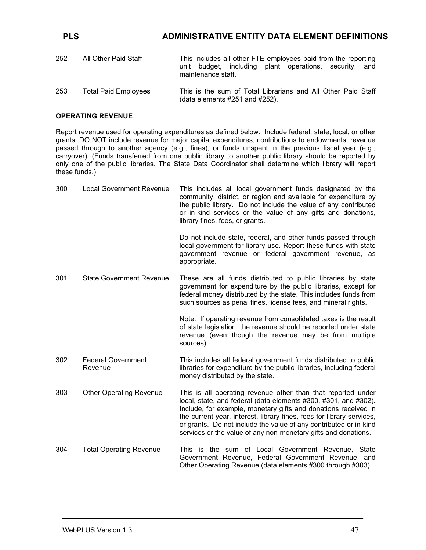| 252 | All Other Paid Staff        | This includes all other FTE employees paid from the reporting<br>unit budget, including plant operations, security, and<br>maintenance staff. |
|-----|-----------------------------|-----------------------------------------------------------------------------------------------------------------------------------------------|
| 253 | <b>Total Paid Employees</b> | This is the sum of Total Librarians and All Other Paid Staff<br>(data elements #251 and #252).                                                |

### **OPERATING REVENUE**

Report revenue used for operating expenditures as defined below. Include federal, state, local, or other grants. DO NOT include revenue for major capital expenditures, contributions to endowments, revenue passed through to another agency (e.g., fines), or funds unspent in the previous fiscal year (e.g., carryover). (Funds transferred from one public library to another public library should be reported by only one of the public libraries. The State Data Coordinator shall determine which library will report these funds.)

| 300 | <b>Local Government Revenue</b>      | This includes all local government funds designated by the<br>community, district, or region and available for expenditure by<br>the public library. Do not include the value of any contributed<br>or in-kind services or the value of any gifts and donations,<br>library fines, fees, or grants.                                                                                                               |
|-----|--------------------------------------|-------------------------------------------------------------------------------------------------------------------------------------------------------------------------------------------------------------------------------------------------------------------------------------------------------------------------------------------------------------------------------------------------------------------|
|     |                                      | Do not include state, federal, and other funds passed through<br>local government for library use. Report these funds with state<br>government revenue or federal government revenue, as<br>appropriate.                                                                                                                                                                                                          |
| 301 | <b>State Government Revenue</b>      | These are all funds distributed to public libraries by state<br>government for expenditure by the public libraries, except for<br>federal money distributed by the state. This includes funds from<br>such sources as penal fines, license fees, and mineral rights.                                                                                                                                              |
|     |                                      | Note: If operating revenue from consolidated taxes is the result<br>of state legislation, the revenue should be reported under state<br>revenue (even though the revenue may be from multiple<br>sources).                                                                                                                                                                                                        |
| 302 | <b>Federal Government</b><br>Revenue | This includes all federal government funds distributed to public<br>libraries for expenditure by the public libraries, including federal<br>money distributed by the state.                                                                                                                                                                                                                                       |
| 303 | <b>Other Operating Revenue</b>       | This is all operating revenue other than that reported under<br>local, state, and federal (data elements #300, #301, and #302).<br>Include, for example, monetary gifts and donations received in<br>the current year, interest, library fines, fees for library services,<br>or grants. Do not include the value of any contributed or in-kind<br>services or the value of any non-monetary gifts and donations. |
| 304 | <b>Total Operating Revenue</b>       | This is the sum of Local Government Revenue, State<br>Government Revenue, Federal Government Revenue, and<br>Other Operating Revenue (data elements #300 through #303).                                                                                                                                                                                                                                           |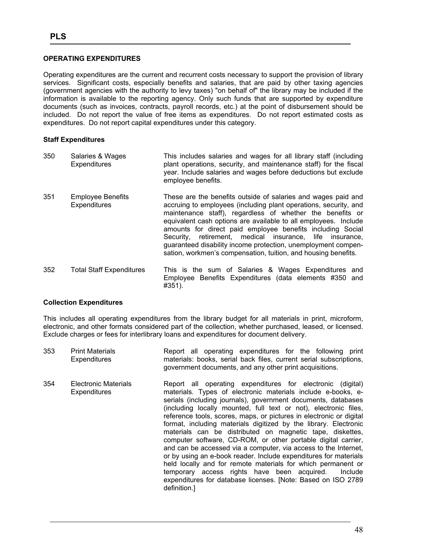### **OPERATING EXPENDITURES**

Operating expenditures are the current and recurrent costs necessary to support the provision of library services. Significant costs, especially benefits and salaries, that are paid by other taxing agencies (government agencies with the authority to levy taxes) "on behalf of" the library may be included if the information is available to the reporting agency. Only such funds that are supported by expenditure documents (such as invoices, contracts, payroll records, etc.) at the point of disbursement should be included. Do not report the value of free items as expenditures. Do not report estimated costs as expenditures. Do not report capital expenditures under this category.

### **Staff Expenditures**

| 350 | Salaries & Wages<br><b>Expenditures</b>         | This includes salaries and wages for all library staff (including<br>plant operations, security, and maintenance staff) for the fiscal<br>year. Include salaries and wages before deductions but exclude<br>employee benefits.                                                                                                                                                                                                                                                                                                       |
|-----|-------------------------------------------------|--------------------------------------------------------------------------------------------------------------------------------------------------------------------------------------------------------------------------------------------------------------------------------------------------------------------------------------------------------------------------------------------------------------------------------------------------------------------------------------------------------------------------------------|
| 351 | <b>Employee Benefits</b><br><b>Expenditures</b> | These are the benefits outside of salaries and wages paid and<br>accruing to employees (including plant operations, security, and<br>maintenance staff), regardless of whether the benefits or<br>equivalent cash options are available to all employees. Include<br>amounts for direct paid employee benefits including Social<br>retirement, medical insurance, life<br>insurance.<br>Security.<br>guaranteed disability income protection, unemployment compen-<br>sation, workmen's compensation, tuition, and housing benefits. |
| 352 | <b>Total Staff Expenditures</b>                 | This is the sum of Salaries & Wages Expenditures and<br>Employee Benefits Expenditures (data elements #350 and<br>#351).                                                                                                                                                                                                                                                                                                                                                                                                             |

### **Collection Expenditures**

This includes all operating expenditures from the library budget for all materials in print, microform, electronic, and other formats considered part of the collection, whether purchased, leased, or licensed. Exclude charges or fees for interlibrary loans and expenditures for document delivery.

- 353 Print Materials **Expenditures** Report all operating expenditures for the following print materials: books, serial back files, current serial subscriptions, government documents, and any other print acquisitions.
- 354 Electronic Materials **Expenditures** Report all operating expenditures for electronic (digital) materials. Types of electronic materials include e-books, eserials (including journals), government documents, databases (including locally mounted, full text or not), electronic files, reference tools, scores, maps, or pictures in electronic or digital format, including materials digitized by the library. Electronic materials can be distributed on magnetic tape, diskettes, computer software, CD-ROM, or other portable digital carrier, and can be accessed via a computer, via access to the Internet, or by using an e-book reader. Include expenditures for materials held locally and for remote materials for which permanent or temporary access rights have been acquired. Include expenditures for database licenses. [Note: Based on ISO 2789 definition.]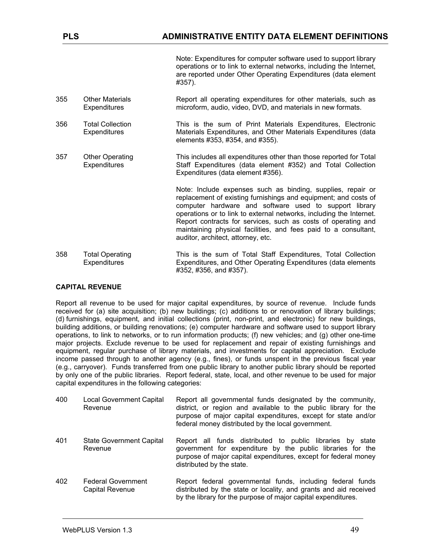Note: Expenditures for computer software used to support library operations or to link to external networks, including the Internet, are reported under Other Operating Expenditures (data element #357).

- 355 Other Materials **Expenditures** Report all operating expenditures for other materials, such as microform, audio, video, DVD, and materials in new formats.
- 356 Total Collection **Expenditures** This is the sum of Print Materials Expenditures, Electronic Materials Expenditures, and Other Materials Expenditures (data elements #353, #354, and #355).
- 357 Other Operating **Expenditures** This includes all expenditures other than those reported for Total Staff Expenditures (data element #352) and Total Collection Expenditures (data element #356).

 Note: Include expenses such as binding, supplies, repair or replacement of existing furnishings and equipment; and costs of computer hardware and software used to support library operations or to link to external networks, including the Internet. Report contracts for services, such as costs of operating and maintaining physical facilities, and fees paid to a consultant, auditor, architect, attorney, etc.

358 Total Operating **Expenditures** This is the sum of Total Staff Expenditures, Total Collection Expenditures, and Other Operating Expenditures (data elements #352, #356, and #357).

### **CAPITAL REVENUE**

Report all revenue to be used for major capital expenditures, by source of revenue. Include funds received for (a) site acquisition; (b) new buildings; (c) additions to or renovation of library buildings; (d) furnishings, equipment, and initial collections (print, non-print, and electronic) for new buildings, building additions, or building renovations; (e) computer hardware and software used to support library operations, to link to networks, or to run information products; (f) new vehicles; and (g) other one-time major projects. Exclude revenue to be used for replacement and repair of existing furnishings and equipment, regular purchase of library materials, and investments for capital appreciation. Exclude income passed through to another agency (e.g., fines), or funds unspent in the previous fiscal year (e.g., carryover). Funds transferred from one public library to another public library should be reported by only one of the public libraries. Report federal, state, local, and other revenue to be used for major capital expenditures in the following categories:

| 400 | <b>Local Government Capital</b><br>Revenue   | Report all governmental funds designated by the community,<br>district, or region and available to the public library for the<br>purpose of major capital expenditures, except for state and/or<br>federal money distributed by the local government. |
|-----|----------------------------------------------|-------------------------------------------------------------------------------------------------------------------------------------------------------------------------------------------------------------------------------------------------------|
| 401 | <b>State Government Capital</b><br>Revenue   | Report all funds distributed to public libraries by<br>state<br>government for expenditure by the public libraries for the<br>purpose of major capital expenditures, except for federal money<br>distributed by the state.                            |
| 402 | <b>Federal Government</b><br>Capital Revenue | Report federal governmental funds, including federal funds<br>distributed by the state or locality, and grants and aid received<br>by the library for the purpose of major capital expenditures.                                                      |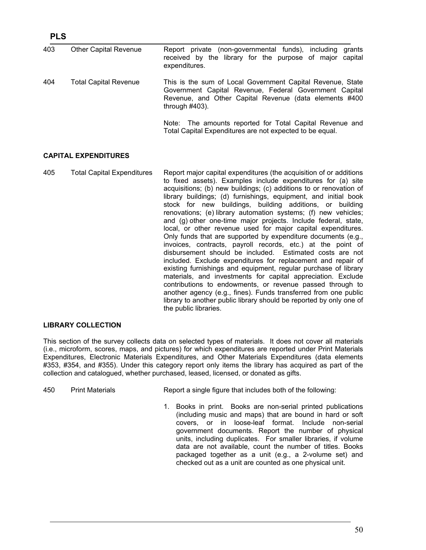| 403 | <b>Other Capital Revenue</b> | Report private (non-governmental funds), including<br>grants<br>received by the library for the purpose of major capital<br>expenditures.                                                           |
|-----|------------------------------|-----------------------------------------------------------------------------------------------------------------------------------------------------------------------------------------------------|
| 404 | <b>Total Capital Revenue</b> | This is the sum of Local Government Capital Revenue, State<br>Government Capital Revenue, Federal Government Capital<br>Revenue, and Other Capital Revenue (data elements #400<br>through $#403$ ). |
|     |                              | Note: The amounts reported for Total Capital Revenue and<br>Total Capital Expenditures are not expected to be equal.                                                                                |

### **CAPITAL EXPENDITURES**

**PLS** 

405 Total Capital Expenditures Report major capital expenditures (the acquisition of or additions to fixed assets). Examples include expenditures for (a) site acquisitions; (b) new buildings; (c) additions to or renovation of library buildings; (d) furnishings, equipment, and initial book stock for new buildings, building additions, or building renovations; (e) library automation systems; (f) new vehicles; and (g) other one-time major projects. Include federal, state, local, or other revenue used for major capital expenditures. Only funds that are supported by expenditure documents (e.g., invoices, contracts, payroll records, etc.) at the point of disbursement should be included. Estimated costs are not included. Exclude expenditures for replacement and repair of existing furnishings and equipment, regular purchase of library materials, and investments for capital appreciation. Exclude contributions to endowments, or revenue passed through to another agency (e.g., fines). Funds transferred from one public library to another public library should be reported by only one of the public libraries.

## **LIBRARY COLLECTION**

This section of the survey collects data on selected types of materials. It does not cover all materials (i.e., microform, scores, maps, and pictures) for which expenditures are reported under Print Materials Expenditures, Electronic Materials Expenditures, and Other Materials Expenditures (data elements #353, #354, and #355). Under this category report only items the library has acquired as part of the collection and catalogued, whether purchased, leased, licensed, or donated as gifts.

450 Print Materials Report a single figure that includes both of the following:

 1. Books in print. Books are non-serial printed publications (including music and maps) that are bound in hard or soft covers, or in loose-leaf format. Include non-serial government documents. Report the number of physical units, including duplicates. For smaller libraries, if volume data are not available, count the number of titles. Books packaged together as a unit (e.g., a 2-volume set) and checked out as a unit are counted as one physical unit.

50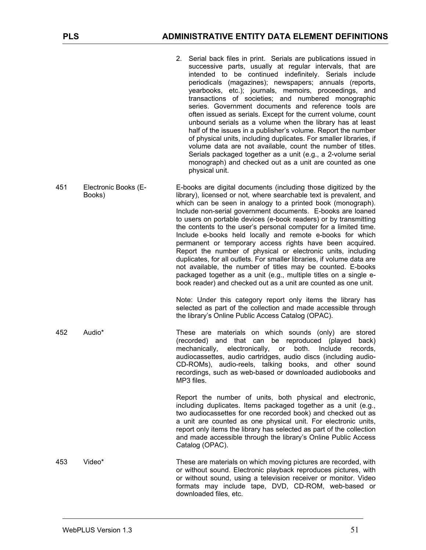|     |                                | 2. Serial back files in print. Serials are publications issued in<br>successive parts, usually at regular intervals, that are<br>intended to be continued indefinitely. Serials include<br>periodicals (magazines); newspapers; annuals (reports,<br>yearbooks, etc.); journals, memoirs, proceedings, and<br>transactions of societies; and numbered monographic<br>series. Government documents and reference tools are<br>often issued as serials. Except for the current volume, count<br>unbound serials as a volume when the library has at least<br>half of the issues in a publisher's volume. Report the number<br>of physical units, including duplicates. For smaller libraries, if<br>volume data are not available, count the number of titles.<br>Serials packaged together as a unit (e.g., a 2-volume serial<br>monograph) and checked out as a unit are counted as one<br>physical unit. |
|-----|--------------------------------|-----------------------------------------------------------------------------------------------------------------------------------------------------------------------------------------------------------------------------------------------------------------------------------------------------------------------------------------------------------------------------------------------------------------------------------------------------------------------------------------------------------------------------------------------------------------------------------------------------------------------------------------------------------------------------------------------------------------------------------------------------------------------------------------------------------------------------------------------------------------------------------------------------------|
| 451 | Electronic Books (E-<br>Books) | E-books are digital documents (including those digitized by the<br>library), licensed or not, where searchable text is prevalent, and<br>which can be seen in analogy to a printed book (monograph).<br>Include non-serial government documents. E-books are loaned<br>to users on portable devices (e-book readers) or by transmitting<br>the contents to the user's personal computer for a limited time.<br>Include e-books held locally and remote e-books for which<br>permanent or temporary access rights have been acquired.<br>Report the number of physical or electronic units, including<br>duplicates, for all outlets. For smaller libraries, if volume data are<br>not available, the number of titles may be counted. E-books<br>packaged together as a unit (e.g., multiple titles on a single e-<br>book reader) and checked out as a unit are counted as one unit.                     |
|     |                                | Note: Under this category report only items the library has<br>selected as part of the collection and made accessible through<br>the library's Online Public Access Catalog (OPAC).                                                                                                                                                                                                                                                                                                                                                                                                                                                                                                                                                                                                                                                                                                                       |
| 452 | Audio*                         | These are materials on which sounds (only) are stored<br>(recorded) and that can be reproduced (played<br>back)<br>mechanically,<br>electronically,<br>both.<br>or<br>Include<br>records,<br>audiocassettes, audio cartridges, audio discs (including audio-<br>CD-ROMs), audio-reels, talking books, and other sound<br>recordings, such as web-based or downloaded audiobooks and<br>MP3 files.                                                                                                                                                                                                                                                                                                                                                                                                                                                                                                         |
|     |                                | Report the number of units, both physical and electronic,<br>including duplicates. Items packaged together as a unit (e.g.,<br>two audiocassettes for one recorded book) and checked out as<br>a unit are counted as one physical unit. For electronic units,<br>report only items the library has selected as part of the collection<br>and made accessible through the library's Online Public Access<br>Catalog (OPAC).                                                                                                                                                                                                                                                                                                                                                                                                                                                                                |
| 453 | Video*                         | These are materials on which moving pictures are recorded, with<br>or without sound. Electronic playback reproduces pictures, with<br>or without sound, using a television receiver or monitor. Video<br>formats may include tape, DVD, CD-ROM, web-based or<br>downloaded files, etc.                                                                                                                                                                                                                                                                                                                                                                                                                                                                                                                                                                                                                    |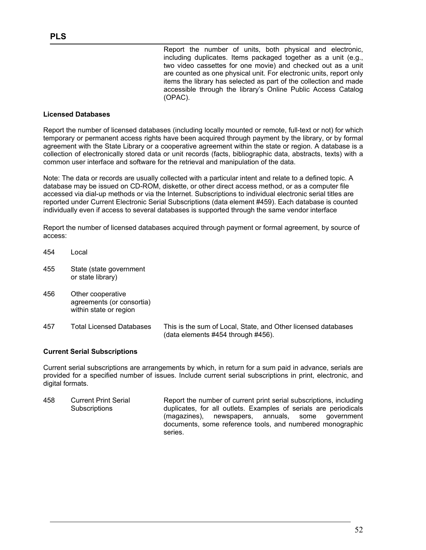Report the number of units, both physical and electronic, including duplicates. Items packaged together as a unit (e.g., two video cassettes for one movie) and checked out as a unit are counted as one physical unit. For electronic units, report only items the library has selected as part of the collection and made accessible through the library's Online Public Access Catalog (OPAC).

#### **Licensed Databases**

Report the number of licensed databases (including locally mounted or remote, full-text or not) for which temporary or permanent access rights have been acquired through payment by the library, or by formal agreement with the State Library or a cooperative agreement within the state or region. A database is a collection of electronically stored data or unit records (facts, bibliographic data, abstracts, texts) with a common user interface and software for the retrieval and manipulation of the data.

Note: The data or records are usually collected with a particular intent and relate to a defined topic. A database may be issued on CD-ROM, diskette, or other direct access method, or as a computer file accessed via dial-up methods or via the Internet. Subscriptions to individual electronic serial titles are reported under Current Electronic Serial Subscriptions (data element #459). Each database is counted individually even if access to several databases is supported through the same vendor interface

Report the number of licensed databases acquired through payment or formal agreement, by source of access:

- 454 Local
- 455 State (state government or state library)
- 456 Other cooperative agreements (or consortia) within state or region
- 457 Total Licensed Databases This is the sum of Local, State, and Other licensed databases (data elements #454 through #456).

#### **Current Serial Subscriptions**

Current serial subscriptions are arrangements by which, in return for a sum paid in advance, serials are provided for a specified number of issues. Include current serial subscriptions in print, electronic, and digital formats.

458 Current Print Serial **Subscriptions** Report the number of current print serial subscriptions, including duplicates, for all outlets. Examples of serials are periodicals (magazines), newspapers, annuals, some government documents, some reference tools, and numbered monographic series.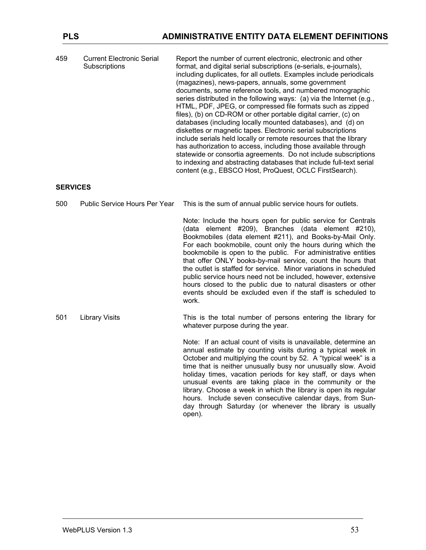459 Current Electronic Serial **Subscriptions** Report the number of current electronic, electronic and other format, and digital serial subscriptions (e-serials, e-journals), including duplicates, for all outlets. Examples include periodicals (magazines), news-papers, annuals, some government documents, some reference tools, and numbered monographic series distributed in the following ways: (a) via the Internet (e.g., HTML, PDF, JPEG, or compressed file formats such as zipped files), (b) on CD-ROM or other portable digital carrier, (c) on databases (including locally mounted databases), and (d) on diskettes or magnetic tapes. Electronic serial subscriptions include serials held locally or remote resources that the library has authorization to access, including those available through statewide or consortia agreements. Do not include subscriptions to indexing and abstracting databases that include full-text serial content (e.g., EBSCO Host, ProQuest, OCLC FirstSearch).

## **SERVICES**

| 500 | Public Service Hours Per Year | This is the sum of annual public service hours for outlets.                                                                                                                                                                                                                                                                                                                                                                                                                                                                                                                                                                                               |
|-----|-------------------------------|-----------------------------------------------------------------------------------------------------------------------------------------------------------------------------------------------------------------------------------------------------------------------------------------------------------------------------------------------------------------------------------------------------------------------------------------------------------------------------------------------------------------------------------------------------------------------------------------------------------------------------------------------------------|
|     |                               | Note: Include the hours open for public service for Centrals<br>(data element #209), Branches (data element #210),<br>Bookmobiles (data element #211), and Books-by-Mail Only.<br>For each bookmobile, count only the hours during which the<br>bookmobile is open to the public. For administrative entities<br>that offer ONLY books-by-mail service, count the hours that<br>the outlet is staffed for service. Minor variations in scheduled<br>public service hours need not be included, however, extensive<br>hours closed to the public due to natural disasters or other<br>events should be excluded even if the staff is scheduled to<br>work. |
| 501 | <b>Library Visits</b>         | This is the total number of persons entering the library for<br>whatever purpose during the year.                                                                                                                                                                                                                                                                                                                                                                                                                                                                                                                                                         |
|     |                               | Note: If an actual count of visits is unavailable, determine an<br>annual estimate by counting visits during a typical week in<br>October and multiplying the count by 52. A "typical week" is a<br>time that is neither unusually busy nor unusually slow. Avoid<br>holiday times, vacation periods for key staff, or days when<br>unusual events are taking place in the community or the<br>library. Choose a week in which the library is open its regular<br>hours. Include seven consecutive calendar days, from Sun-<br>day through Saturday (or whenever the library is usually<br>open).                                                         |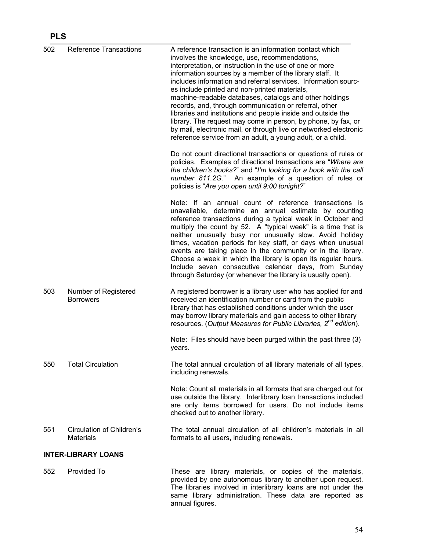| 502<br><b>Reference Transactions</b> | A reference transaction is an information contact which<br>involves the knowledge, use, recommendations,<br>interpretation, or instruction in the use of one or more<br>information sources by a member of the library staff. It<br>includes information and referral services. Information sourc-<br>es include printed and non-printed materials,<br>machine-readable databases, catalogs and other holdings<br>records, and, through communication or referral, other<br>libraries and institutions and people inside and outside the<br>library. The request may come in person, by phone, by fax, or |
|--------------------------------------|-----------------------------------------------------------------------------------------------------------------------------------------------------------------------------------------------------------------------------------------------------------------------------------------------------------------------------------------------------------------------------------------------------------------------------------------------------------------------------------------------------------------------------------------------------------------------------------------------------------|

 Do not count directional transactions or questions of rules or policies. Examples of directional transactions are "*Where are the children's books?*" and "*I'm looking for a book with the call number 811.2G.*" An example of a question of rules or policies is "*Are you open until 9:00 tonight?*"

by mail, electronic mail, or through live or networked electronic reference service from an adult, a young adult, or a child.

 Note: If an annual count of reference transactions is unavailable, determine an annual estimate by counting reference transactions during a typical week in October and multiply the count by 52. A "typical week" is a time that is neither unusually busy nor unusually slow. Avoid holiday times, vacation periods for key staff, or days when unusual events are taking place in the community or in the library. Choose a week in which the library is open its regular hours. Include seven consecutive calendar days, from Sunday through Saturday (or whenever the library is usually open).

503 Number of Registered **Borrowers** A registered borrower is a library user who has applied for and received an identification number or card from the public library that has established conditions under which the user may borrow library materials and gain access to other library resources. (*Output Measures for Public Libraries, 2nd edition*).

> Note: Files should have been purged within the past three (3) years.

550 Total Circulation The total annual circulation of all library materials of all types, including renewals.

> Note: Count all materials in all formats that are charged out for use outside the library. Interlibrary loan transactions included are only items borrowed for users. Do not include items checked out to another library.

551 Circulation of Children's **Materials** The total annual circulation of all children's materials in all formats to all users, including renewals.

#### **INTER-LIBRARY LOANS**

552 Provided To These are library materials, or copies of the materials, provided by one autonomous library to another upon request. The libraries involved in interlibrary loans are not under the same library administration. These data are reported as annual figures.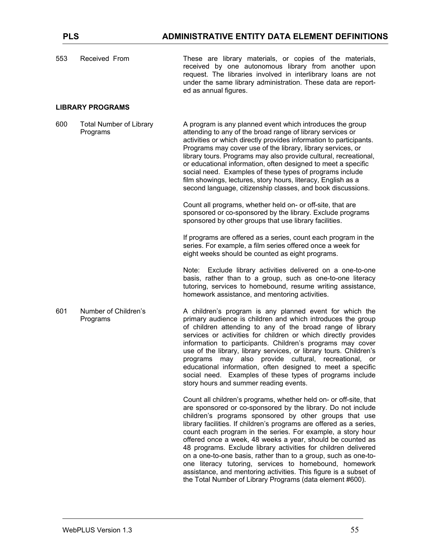| 553 | Received From                              | These are library materials, or copies of the materials,<br>received by one autonomous library from another upon<br>request. The libraries involved in interlibrary loans are not<br>under the same library administration. These data are report-<br>ed as annual figures.                                                                                                                                                                                                                                                                                                                                                                                                                                                                                                                                                                          |
|-----|--------------------------------------------|------------------------------------------------------------------------------------------------------------------------------------------------------------------------------------------------------------------------------------------------------------------------------------------------------------------------------------------------------------------------------------------------------------------------------------------------------------------------------------------------------------------------------------------------------------------------------------------------------------------------------------------------------------------------------------------------------------------------------------------------------------------------------------------------------------------------------------------------------|
|     | <b>LIBRARY PROGRAMS</b>                    |                                                                                                                                                                                                                                                                                                                                                                                                                                                                                                                                                                                                                                                                                                                                                                                                                                                      |
| 600 | <b>Total Number of Library</b><br>Programs | A program is any planned event which introduces the group<br>attending to any of the broad range of library services or<br>activities or which directly provides information to participants.<br>Programs may cover use of the library, library services, or<br>library tours. Programs may also provide cultural, recreational,<br>or educational information, often designed to meet a specific<br>social need. Examples of these types of programs include<br>film showings, lectures, story hours, literacy, English as a<br>second language, citizenship classes, and book discussions.<br>Count all programs, whether held on- or off-site, that are<br>sponsored or co-sponsored by the library. Exclude programs<br>sponsored by other groups that use library facilities.<br>If programs are offered as a series, count each program in the |
|     |                                            | series. For example, a film series offered once a week for<br>eight weeks should be counted as eight programs.<br>Exclude library activities delivered on a one-to-one<br>Note:                                                                                                                                                                                                                                                                                                                                                                                                                                                                                                                                                                                                                                                                      |

basis, rather than to a group, such as one-to-one literacy tutoring, services to homebound, resume writing assistance, homework assistance, and mentoring activities.

601 Number of Children's Programs A children's program is any planned event for which the primary audience is children and which introduces the group of children attending to any of the broad range of library services or activities for children or which directly provides information to participants. Children's programs may cover use of the library, library services, or library tours. Children's programs may also provide cultural, recreational, or educational information, often designed to meet a specific social need. Examples of these types of programs include story hours and summer reading events.

> Count all children's programs, whether held on- or off-site, that are sponsored or co-sponsored by the library. Do not include children's programs sponsored by other groups that use library facilities. If children's programs are offered as a series, count each program in the series. For example, a story hour offered once a week, 48 weeks a year, should be counted as 48 programs. Exclude library activities for children delivered on a one-to-one basis, rather than to a group, such as one-toone literacy tutoring, services to homebound, homework assistance, and mentoring activities. This figure is a subset of the Total Number of Library Programs (data element #600).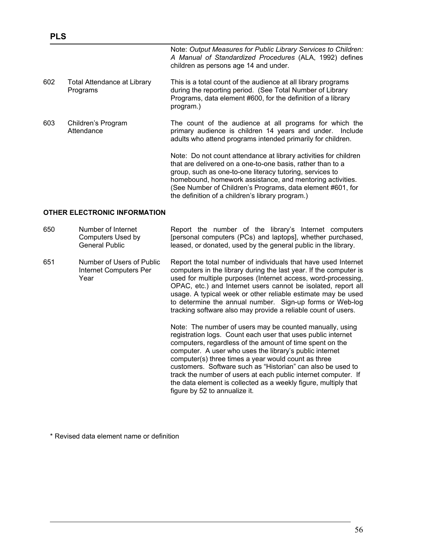|     |                                                | Note: Output Measures for Public Library Services to Children:<br>A Manual of Standardized Procedures (ALA, 1992) defines<br>children as persons age 14 and under.                                                                                                                                                    |
|-----|------------------------------------------------|-----------------------------------------------------------------------------------------------------------------------------------------------------------------------------------------------------------------------------------------------------------------------------------------------------------------------|
| 602 | <b>Total Attendance at Library</b><br>Programs | This is a total count of the audience at all library programs<br>during the reporting period. (See Total Number of Library<br>Programs, data element #600, for the definition of a library<br>program.)                                                                                                               |
| 603 | Children's Program<br>Attendance               | The count of the audience at all programs for which the<br>primary audience is children 14 years and under. Include<br>adults who attend programs intended primarily for children.                                                                                                                                    |
|     |                                                | Note: Do not count attendance at library activities for children<br>that are delivered on a one-to-one basis, rather than to a<br>group, such as one-to-one literacy tutoring, services to<br>homebound, homework assistance, and mentoring activities.<br>(See Number of Children's Programs, data element #601, for |

the definition of a children's library program.)

#### **OTHER ELECTRONIC INFORMATION**

| 650 | Number of Internet<br>Computers Used by<br><b>General Public</b> | Report the number of the library's Internet computers<br>[personal computers (PCs) and laptops], whether purchased,<br>leased, or donated, used by the general public in the library.                                                                                                                                                                                                                                                                                                                                                       |
|-----|------------------------------------------------------------------|---------------------------------------------------------------------------------------------------------------------------------------------------------------------------------------------------------------------------------------------------------------------------------------------------------------------------------------------------------------------------------------------------------------------------------------------------------------------------------------------------------------------------------------------|
| 651 | Number of Users of Public<br>Internet Computers Per<br>Year      | Report the total number of individuals that have used Internet<br>computers in the library during the last year. If the computer is<br>used for multiple purposes (Internet access, word-processing,<br>OPAC, etc.) and Internet users cannot be isolated, report all<br>usage. A typical week or other reliable estimate may be used<br>to determine the annual number. Sign-up forms or Web-log<br>tracking software also may provide a reliable count of users.                                                                          |
|     |                                                                  | Note: The number of users may be counted manually, using<br>registration logs. Count each user that uses public internet<br>computers, regardless of the amount of time spent on the<br>computer. A user who uses the library's public internet<br>computer(s) three times a year would count as three<br>customers. Software such as "Historian" can also be used to<br>track the number of users at each public internet computer. If<br>the data element is collected as a weekly figure, multiply that<br>figure by 52 to annualize it. |

\* Revised data element name or definition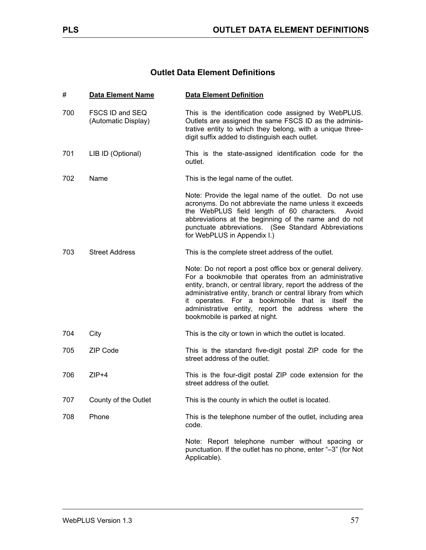## **Outlet Data Element Definitions**

| #   | <b>Data Element Name</b>               | <b>Data Element Definition</b>                                                                                                                                                                                                                                                                                                                                                                   |
|-----|----------------------------------------|--------------------------------------------------------------------------------------------------------------------------------------------------------------------------------------------------------------------------------------------------------------------------------------------------------------------------------------------------------------------------------------------------|
| 700 | FSCS ID and SEQ<br>(Automatic Display) | This is the identification code assigned by WebPLUS.<br>Outlets are assigned the same FSCS ID as the adminis-<br>trative entity to which they belong, with a unique three-<br>digit suffix added to distinguish each outlet.                                                                                                                                                                     |
| 701 | LIB ID (Optional)                      | This is the state-assigned identification code for the<br>outlet.                                                                                                                                                                                                                                                                                                                                |
| 702 | Name                                   | This is the legal name of the outlet.                                                                                                                                                                                                                                                                                                                                                            |
|     |                                        | Note: Provide the legal name of the outlet. Do not use<br>acronyms. Do not abbreviate the name unless it exceeds<br>the WebPLUS field length of 60 characters.<br>Avoid<br>abbreviations at the beginning of the name and do not<br>punctuate abbreviations. (See Standard Abbreviations<br>for WebPLUS in Appendix I.)                                                                          |
| 703 | <b>Street Address</b>                  | This is the complete street address of the outlet.                                                                                                                                                                                                                                                                                                                                               |
|     |                                        | Note: Do not report a post office box or general delivery.<br>For a bookmobile that operates from an administrative<br>entity, branch, or central library, report the address of the<br>administrative entity, branch or central library from which<br>it operates. For a bookmobile that is itself the<br>administrative entity, report the address where the<br>bookmobile is parked at night. |
| 704 | City                                   | This is the city or town in which the outlet is located.                                                                                                                                                                                                                                                                                                                                         |
| 705 | ZIP Code                               | This is the standard five-digit postal ZIP code for the<br>street address of the outlet.                                                                                                                                                                                                                                                                                                         |
| 706 | $ZIP+4$                                | This is the four-digit postal ZIP code extension for the<br>street address of the outlet.                                                                                                                                                                                                                                                                                                        |
| 707 | County of the Outlet                   | This is the county in which the outlet is located.                                                                                                                                                                                                                                                                                                                                               |
| 708 | Phone                                  | This is the telephone number of the outlet, including area<br>code.                                                                                                                                                                                                                                                                                                                              |
|     |                                        | Note: Report telephone number without spacing or<br>punctuation. If the outlet has no phone, enter "-3" (for Not<br>Applicable).                                                                                                                                                                                                                                                                 |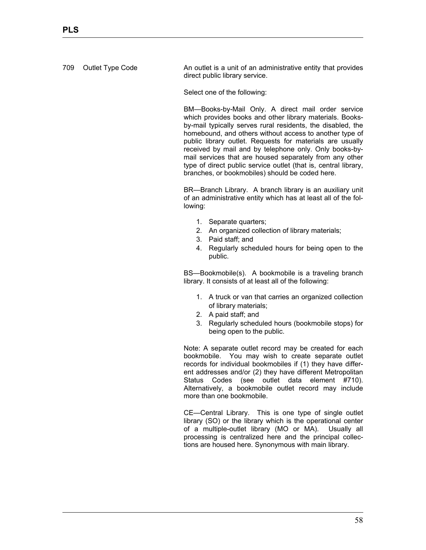709 Outlet Type Code **An outlet is a unit of an administrative entity that provides** direct public library service.

Select one of the following:

 BM—Books-by-Mail Only. A direct mail order service which provides books and other library materials. Booksby-mail typically serves rural residents, the disabled, the homebound, and others without access to another type of public library outlet. Requests for materials are usually received by mail and by telephone only. Only books-bymail services that are housed separately from any other type of direct public service outlet (that is, central library, branches, or bookmobiles) should be coded here.

 BR—Branch Library. A branch library is an auxiliary unit of an administrative entity which has at least all of the following:

- 1. Separate quarters;
- 2. An organized collection of library materials;
- 3. Paid staff; and
- 4. Regularly scheduled hours for being open to the public.

 BS—Bookmobile(s). A bookmobile is a traveling branch library. It consists of at least all of the following:

- 1. A truck or van that carries an organized collection of library materials;
- 2. A paid staff; and
- 3. Regularly scheduled hours (bookmobile stops) for being open to the public.

 Note: A separate outlet record may be created for each bookmobile. You may wish to create separate outlet records for individual bookmobiles if (1) they have different addresses and/or (2) they have different Metropolitan Status Codes (see outlet data element #710). Alternatively, a bookmobile outlet record may include more than one bookmobile.

 CE—Central Library. This is one type of single outlet library (SO) or the library which is the operational center of a multiple-outlet library (MO or MA). Usually all processing is centralized here and the principal collections are housed here. Synonymous with main library.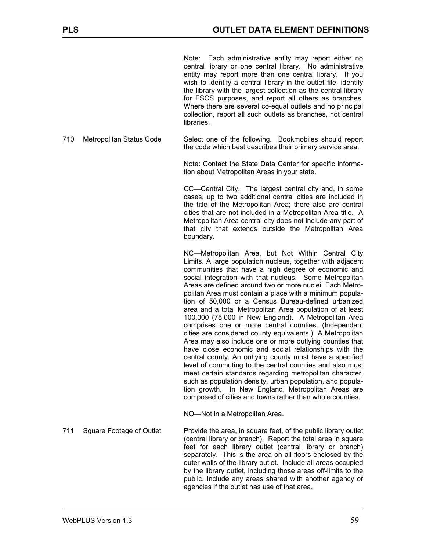Note: Each administrative entity may report either no central library or one central library. No administrative entity may report more than one central library. If you wish to identify a central library in the outlet file, identify the library with the largest collection as the central library for FSCS purposes, and report all others as branches. Where there are several co-equal outlets and no principal collection, report all such outlets as branches, not central libraries.

710 Metropolitan Status Code Select one of the following. Bookmobiles should report the code which best describes their primary service area.

> Note: Contact the State Data Center for specific information about Metropolitan Areas in your state.

> CC—Central City. The largest central city and, in some cases, up to two additional central cities are included in the title of the Metropolitan Area; there also are central cities that are not included in a Metropolitan Area title. A Metropolitan Area central city does not include any part of that city that extends outside the Metropolitan Area boundary.

> NC—Metropolitan Area, but Not Within Central City Limits. A large population nucleus, together with adjacent communities that have a high degree of economic and social integration with that nucleus. Some Metropolitan Areas are defined around two or more nuclei. Each Metropolitan Area must contain a place with a minimum population of 50,000 or a Census Bureau-defined urbanized area and a total Metropolitan Area population of at least 100,000 (75,000 in New England). A Metropolitan Area comprises one or more central counties. (Independent cities are considered county equivalents.) A Metropolitan Area may also include one or more outlying counties that have close economic and social relationships with the central county. An outlying county must have a specified level of commuting to the central counties and also must meet certain standards regarding metropolitan character, such as population density, urban population, and population growth. In New England, Metropolitan Areas are composed of cities and towns rather than whole counties.

NO—Not in a Metropolitan Area.

711 Square Footage of Outlet Provide the area, in square feet, of the public library outlet (central library or branch). Report the total area in square feet for each library outlet (central library or branch) separately. This is the area on all floors enclosed by the outer walls of the library outlet. Include all areas occupied by the library outlet, including those areas off-limits to the public. Include any areas shared with another agency or agencies if the outlet has use of that area.